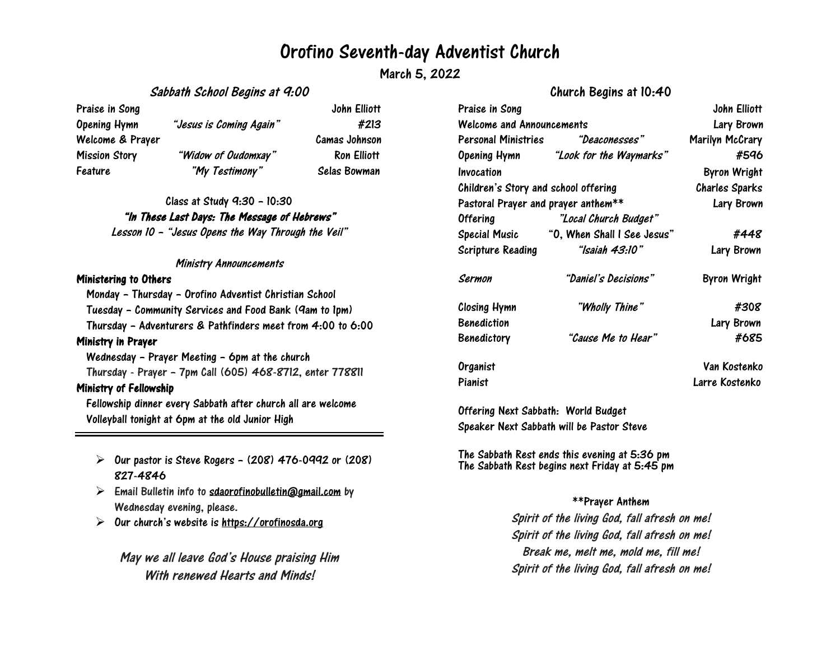## Orofino Seventh-day Adventist Church

March 5, 2022

### Sabbath School Begins at 9:00

Praise in Song The Song Solution of the Song John Elliott John Elliott Opening Hymn "Jesus is Coming Again" #213 Welcome & Prayer Camas Johnson Mission Story "Widow of Oudomxay" Ron Elliott Feature "My Testimony" Selas Bowman

> Class at Study 9:30 – 10:30 "In These Last Days: The Message of Hebrews" Lesson <sup>10</sup> – "Jesus Opens the Way Through the Veil"

#### Ministry Announcements

#### Ministering to Others

Monday – Thursday – Orofino Adventist Christian School Tuesday – Community Services and Food Bank (9am to 1pm) Thursday – Adventurers & Pathfinders meet from 4:00 to 6:00 Ministry in Prayer Wednesday – Prayer Meeting – 6pm at the church Thursday - Prayer – 7pm Call (605) 468-8712, enter 778811 Ministry of Fellowship

Fellowship dinner every Sabbath after church all are welcome Volleyball tonight at 6pm at the old Junior High

- $\triangleright$  Our pastor is Steve Rogers (208) 476-0992 or (208) 827-4846
- $\triangleright$  Email Bulletin info to [sdaorofinobulletin@gmail.com](mailto:sdaorofinobulletin@gmail.com) by Wednesday evening, please.
- $\triangleright$ Our church's website is [https://orofinosda.org](https://orofinosda.org/)

May we all leave God's House praising Him With renewed Hearts and Minds!

## Church Begins at 10:40

| Praise in Song                       |                                      | John Elliott          |
|--------------------------------------|--------------------------------------|-----------------------|
| Welcome and Announcements            |                                      | Lary Brown            |
| Personal Ministries                  | "Deaconesses"                        | Marilyn McCrary       |
|                                      | Opening Hymn "Look for the Waymarks" | #596                  |
| Invocation                           |                                      | <b>Byron Wright</b>   |
| Children's Story and school offering |                                      | <b>Charles Sparks</b> |
| Pastoral Prayer and prayer anthem**  |                                      | Lary Brown            |
| <b>Offering</b>                      | "Local Church Budget"                |                       |
| Special Music                        | "O, When Shall I See Jesus"          | #448                  |
| Scripture Reading                    | "Isaiah 43:10"                       | Lary Brown            |
| Sermon                               | "Daniel's Decisions"                 | Byron Wright          |
| Closing Hymn                         | "Wholly Thine"                       | #308                  |
| <b>Benediction</b>                   |                                      | Lary Brown            |
| <b>Benedictory</b>                   | "Cause Me to Hear"                   | #685                  |
| Organist                             |                                      | Van Kostenko          |
| Pianist                              |                                      | Larre Kostenko        |

Offering Next Sabbath: World Budget Speaker Next Sabbath will be Pastor Steve

The Sabbath Rest ends this evening at 5:36 pm The Sabbath Rest begins next Friday at 5:45 pm

#### \*\*Prayer Anthem

Spirit of the living God, fall afresh on me! Spirit of the living God, fall afresh on me! Break me, melt me, mold me, fill me! Spirit of the living God, fall afresh on me!